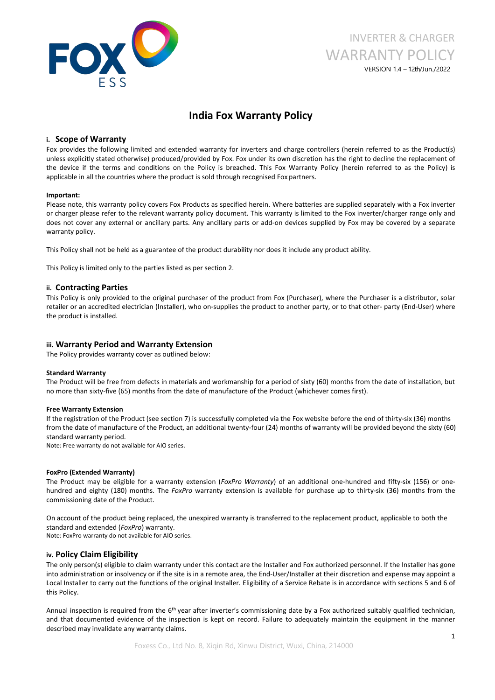

# INVERTER & CHARGER WARRANTY POLICY VERSION 1.4 –12th/Jun./2022

## **India Fox Warranty Policy**

### **i. Scope of Warranty**

Fox provides the following limited and extended warranty for inverters and charge controllers (herein referred to as the Product(s) unless explicitly stated otherwise) produced/provided by Fox. Fox under its own discretion has the right to decline the replacement of the device if the terms and conditions on the Policy is breached. This Fox Warranty Policy (herein referred to asthe Policy) is applicable in all the countries where the product is sold through recognised Fox partners.

#### **Important:**

Please note, this warranty policy covers Fox Products as specified herein. Where batteries are supplied separately with a Fox inverter or charger please refer to the relevant warranty policy document. This warranty is limited to the Fox inverter/charger range only and does not cover any external or ancillary parts. Any ancillary parts or add-on devices supplied by Fox may be covered by a separate warranty policy.

This Policy shall not be held as a guarantee of the product durability nor does it include any product ability.

This Policy is limited only to the parties listed as per section 2.

#### **ii. Contracting Parties**

This Policy is only provided to the original purchaser of the product from Fox (Purchaser), where the Purchaser is a distributor, solar retailer or an accredited electrician (Installer), who on-supplies the product to another party, or to that other- party (End-User) where the product is installed.

#### **iii. Warranty Period and Warranty Extension**

The Policy provides warranty cover as outlined below:

#### **Standard Warranty**

The Product will be free from defects in materials and workmanship for a period of sixty (60) months from the date of installation, but no more than sixty-five (65) months from the date of manufacture of the Product (whichever comes first).

#### **Free Warranty Extension**

If the registration of the Product (see section 7) is successfully completed via the Fox website before the end of thirty-six (36) months from the date of manufacture of the Product, an additional twenty-four (24) months of warranty will be provided beyond the sixty (60) standard warranty period.

Note: Free warranty do not available for AIO series.

#### **FoxPro (Extended Warranty)**

The Product may be eligible for a warranty extension (*FoxPro Warranty*) of an additional one-hundred and fifty-six (156) or onehundred and eighty (180) months. The *FoxPro* warranty extension is available for purchase up to thirty-six (36) months from the commissioning date of the Product.

On account of the product being replaced, the unexpired warranty is transferred to the replacement product, applicable to both the standard and extended (*FoxPro*) warranty.

Note: FoxPro warranty do not available for AIO series.

#### **iv. Policy Claim Eligibility**

The only person(s) eligible to claim warranty under this contact are the Installer and Fox authorized personnel. If the Installer has gone into administration or insolvency or if the site is in a remote area, the End-User/Installer at their discretion and expense may appoint a Local Installer to carry out the functions of the original Installer. Eligibility of a Service Rebate is in accordance with sections 5 and 6 of this Policy.

Annual inspection is required from the 6<sup>th</sup> year after inverter's commissioning date by a Fox authorized suitably qualified technician, and that documented evidence of the inspection is kept on record. Failure to adequately maintain the equipment in the manner described may invalidate any warranty claims.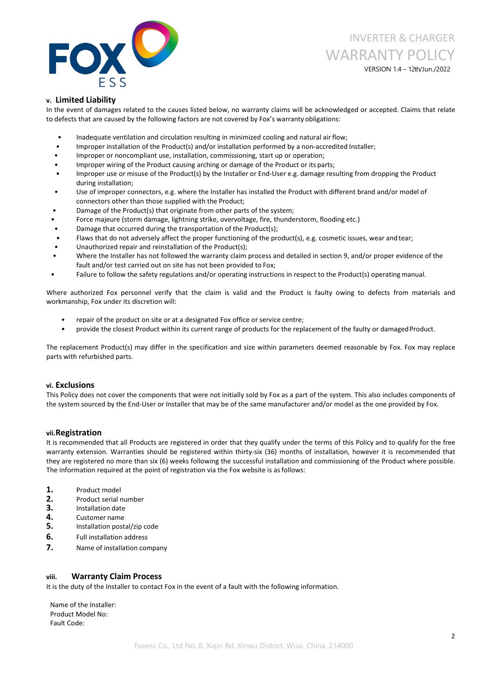

INVERTER & CHARGER WARRANTY POLICY

VERSION 1.4 –12th/Jun./2022

## **v. Limited Liability**

In the event of damages related to the causes listed below, no warranty claims will be acknowledged or accepted. Claims that relate to defects that are caused by the following factors are not covered by Fox's warranty obligations:

- Inadequate ventilation and circulation resulting in minimized cooling and natural air flow;
- Improper installation of the Product(s) and/or installation performed by a non-accredited Installer;
- Improper or noncompliant use, installation, commissioning, start up or operation;
- Improper wiring of the Product causing arching or damage of the Product or its parts;
- Improper use or misuse of the Product(s) by the Installer or End-User e.g. damage resulting from dropping the Product during installation;
- Use of improper connectors, e.g. where the Installer has installed the Product with different brand and/or model of connectors other than those supplied with the Product;
- Damage of the Product(s) that originate from other parts of the system;
- Force majeure (storm damage, lightning strike, overvoltage, fire, thunderstorm, flooding etc.)
- Damage that occurred during the transportation of the Product(s);
- Flaws that do not adversely affect the proper functioning of the product(s), e.g. cosmetic issues, wear and tear;
- Unauthorized repair and reinstallation of the Product(s);
- Where the Installer has not followed the warranty claim process and detailed in section 9, and/or proper evidence of the fault and/or test carried out on site has not been provided to Fox;
- Failure to follow the safety regulations and/or operating instructions in respect to the Product(s) operating manual.

Where authorized Fox personnel verify that the claim is valid and the Product is faulty owing to defects from materials and workmanship, Fox under its discretion will:

- repair of the product on site or at a designated Fox office or service centre;
- provide the closest Product within its current range of products for the replacement of the faulty or damaged Product.

The replacement Product(s) may differ in the specification and size within parameters deemed reasonable by Fox. Fox may replace parts with refurbished parts.

#### **vi. Exclusions**

This Policy does not cover the components that were not initially sold by Fox as a part of the system. This also includes components of the system sourced by the End-User or Installer that may be of the same manufacturer and/or model as the one provided by Fox.

#### **vii.Registration**

It is recommended that all Products are registered in order that they qualify under the terms of this Policy and to qualify for the free warranty extension. Warranties should be registered within thirty-six (36) months of installation, however it is recommended that they are registered no more than six (6) weeks following the successful installation and commissioning of the Product where possible. The information required at the point of registration via the Fox website is asfollows:

- **1.** Product model
- 
- 
- 
- **2.** Product serial number<br>**3.** Installation date<br>**4.** Customer name<br>**5.** Installation postal/zip code
- **6.** Full installation address
- **7.** Name of installation company

### **viii. Warranty Claim Process**

It is the duty of the Installer to contact Fox in the event of a fault with the following information.

Name of the Installer: Product Model No: Fault Code: